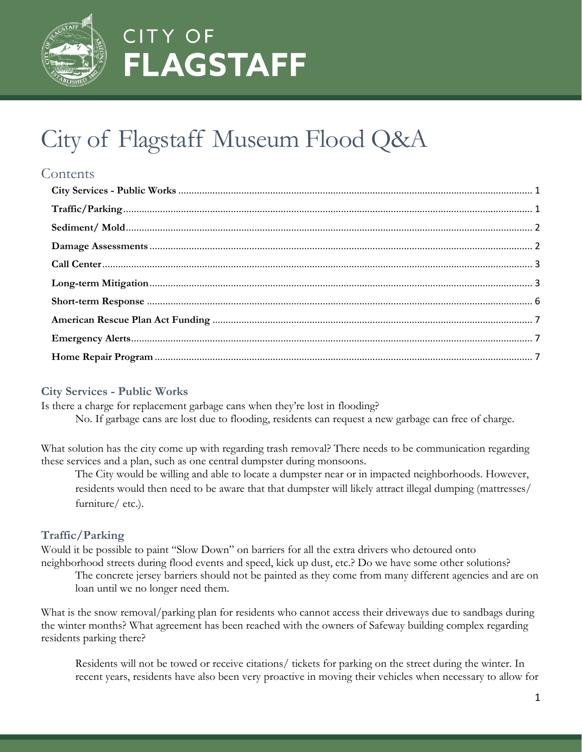

# City of Flagstaff Museum Flood Q&A

### **Contents**

#### <span id="page-0-0"></span>**City Services - Public Works**

Is there a charge for replacement garbage cans when they're lost in flooding? No. If garbage cans are lost due to flooding, residents can request a new garbage can free of charge.

What solution has the city come up with regarding trash removal? There needs to be communication regarding these services and a plan, such as one central dumpster during monsoons.

The City would be willing and able to locate a dumpster near or in impacted neighborhoods. However, residents would then need to be aware that that dumpster will likely attract illegal dumping (mattresses/ furniture/ etc.).

### <span id="page-0-1"></span>**Traffic/Parking**

Would it be possible to paint "Slow Down" on barriers for all the extra drivers who detoured onto neighborhood streets during flood events and speed, kick up dust, etc.? Do we have some other solutions?

The concrete jersey barriers should not be painted as they come from many different agencies and are on loan until we no longer need them.

What is the snow removal/parking plan for residents who cannot access their driveways due to sandbags during the winter months? What agreement has been reached with the owners of Safeway building complex regarding residents parking there?

Residents will not be towed or receive citations/ tickets for parking on the street during the winter. In recent years, residents have also been very proactive in moving their vehicles when necessary to allow for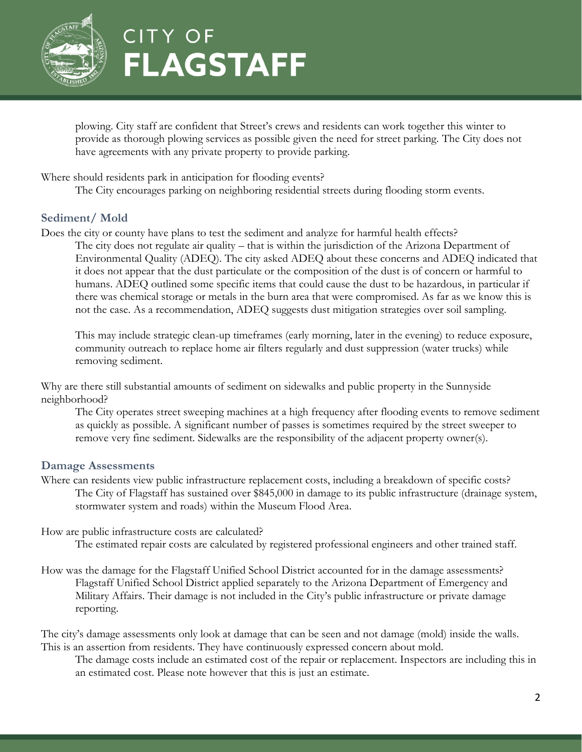

plowing. City staff are confident that Street's crews and residents can work together this winter to provide as thorough plowing services as possible given the need for street parking. The City does not have agreements with any private property to provide parking.

Where should residents park in anticipation for flooding events?

The City encourages parking on neighboring residential streets during flooding storm events.

#### <span id="page-1-0"></span>**Sediment/ Mold**

Does the city or county have plans to test the sediment and analyze for harmful health effects?

The city does not regulate air quality – that is within the jurisdiction of the Arizona Department of Environmental Quality (ADEQ). The city asked ADEQ about these concerns and ADEQ indicated that it does not appear that the dust particulate or the composition of the dust is of concern or harmful to humans. ADEQ outlined some specific items that could cause the dust to be hazardous, in particular if there was chemical storage or metals in the burn area that were compromised. As far as we know this is not the case. As a recommendation, ADEQ suggests dust mitigation strategies over soil sampling.

This may include strategic clean-up timeframes (early morning, later in the evening) to reduce exposure, community outreach to replace home air filters regularly and dust suppression (water trucks) while removing sediment.

Why are there still substantial amounts of sediment on sidewalks and public property in the Sunnyside neighborhood?

The City operates street sweeping machines at a high frequency after flooding events to remove sediment as quickly as possible. A significant number of passes is sometimes required by the street sweeper to remove very fine sediment. Sidewalks are the responsibility of the adjacent property owner(s).

#### <span id="page-1-1"></span>**Damage Assessments**

- Where can residents view public infrastructure replacement costs, including a breakdown of specific costs? The City of Flagstaff has sustained over \$845,000 in damage to its public infrastructure (drainage system, stormwater system and roads) within the Museum Flood Area.
- How are public infrastructure costs are calculated?

The estimated repair costs are calculated by registered professional engineers and other trained staff.

How was the damage for the Flagstaff Unified School District accounted for in the damage assessments? Flagstaff Unified School District applied separately to the Arizona Department of Emergency and Military Affairs. Their damage is not included in the City's public infrastructure or private damage reporting.

The city's damage assessments only look at damage that can be seen and not damage (mold) inside the walls. This is an assertion from residents. They have continuously expressed concern about mold.

The damage costs include an estimated cost of the repair or replacement. Inspectors are including this in an estimated cost. Please note however that this is just an estimate.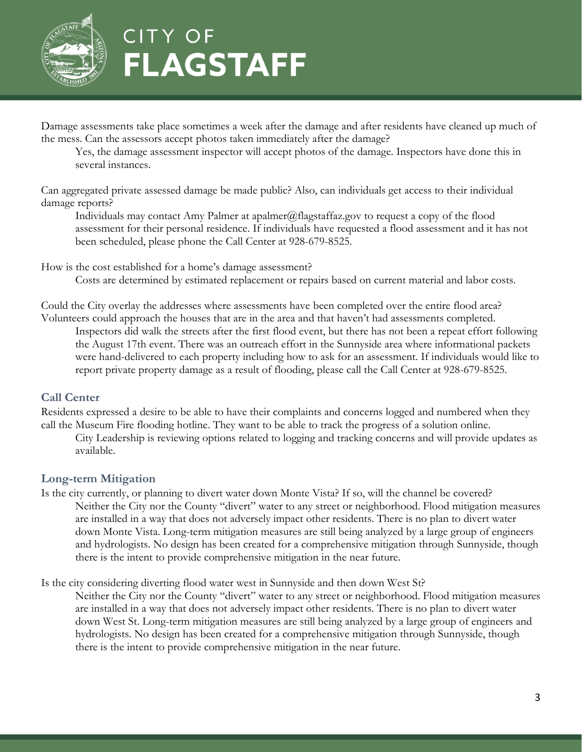

Damage assessments take place sometimes a week after the damage and after residents have cleaned up much of the mess. Can the assessors accept photos taken immediately after the damage?

Yes, the damage assessment inspector will accept photos of the damage. Inspectors have done this in several instances.

Can aggregated private assessed damage be made public? Also, can individuals get access to their individual damage reports?

Individuals may contact Amy Palmer at apalmer@flagstaffaz.gov to request a copy of the flood assessment for their personal residence. If individuals have requested a flood assessment and it has not been scheduled, please phone the Call Center at 928-679-8525.

How is the cost established for a home's damage assessment? Costs are determined by estimated replacement or repairs based on current material and labor costs.

Could the City overlay the addresses where assessments have been completed over the entire flood area? Volunteers could approach the houses that are in the area and that haven't had assessments completed. Inspectors did walk the streets after the first flood event, but there has not been a repeat effort following the August 17th event. There was an outreach effort in the Sunnyside area where informational packets were hand-delivered to each property including how to ask for an assessment. If individuals would like to report private property damage as a result of flooding, please call the Call Center at 928-679-8525.

#### <span id="page-2-0"></span>**Call Center**

Residents expressed a desire to be able to have their complaints and concerns logged and numbered when they call the Museum Fire flooding hotline. They want to be able to track the progress of a solution online.

City Leadership is reviewing options related to logging and tracking concerns and will provide updates as available.

#### <span id="page-2-1"></span>**Long-term Mitigation**

Is the city currently, or planning to divert water down Monte Vista? If so, will the channel be covered? Neither the City nor the County "divert" water to any street or neighborhood. Flood mitigation measures are installed in a way that does not adversely impact other residents. There is no plan to divert water down Monte Vista. Long-term mitigation measures are still being analyzed by a large group of engineers and hydrologists. No design has been created for a comprehensive mitigation through Sunnyside, though there is the intent to provide comprehensive mitigation in the near future.

Is the city considering diverting flood water west in Sunnyside and then down West St?

Neither the City nor the County "divert" water to any street or neighborhood. Flood mitigation measures are installed in a way that does not adversely impact other residents. There is no plan to divert water down West St. Long-term mitigation measures are still being analyzed by a large group of engineers and hydrologists. No design has been created for a comprehensive mitigation through Sunnyside, though there is the intent to provide comprehensive mitigation in the near future.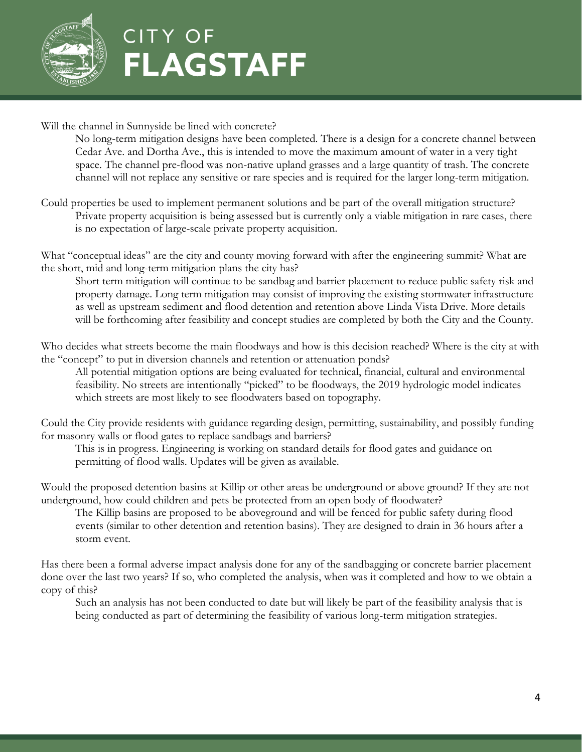

Will the channel in Sunnyside be lined with concrete?

No long-term mitigation designs have been completed. There is a design for a concrete channel between Cedar Ave. and Dortha Ave., this is intended to move the maximum amount of water in a very tight space. The channel pre-flood was non-native upland grasses and a large quantity of trash. The concrete channel will not replace any sensitive or rare species and is required for the larger long-term mitigation.

Could properties be used to implement permanent solutions and be part of the overall mitigation structure? Private property acquisition is being assessed but is currently only a viable mitigation in rare cases, there is no expectation of large-scale private property acquisition.

What "conceptual ideas" are the city and county moving forward with after the engineering summit? What are the short, mid and long-term mitigation plans the city has?

Short term mitigation will continue to be sandbag and barrier placement to reduce public safety risk and property damage. Long term mitigation may consist of improving the existing stormwater infrastructure as well as upstream sediment and flood detention and retention above Linda Vista Drive. More details will be forthcoming after feasibility and concept studies are completed by both the City and the County.

Who decides what streets become the main floodways and how is this decision reached? Where is the city at with the "concept" to put in diversion channels and retention or attenuation ponds?

All potential mitigation options are being evaluated for technical, financial, cultural and environmental feasibility. No streets are intentionally "picked" to be floodways, the 2019 hydrologic model indicates which streets are most likely to see floodwaters based on topography.

Could the City provide residents with guidance regarding design, permitting, sustainability, and possibly funding for masonry walls or flood gates to replace sandbags and barriers?

This is in progress. Engineering is working on standard details for flood gates and guidance on permitting of flood walls. Updates will be given as available.

Would the proposed detention basins at Killip or other areas be underground or above ground? If they are not underground, how could children and pets be protected from an open body of floodwater?

The Killip basins are proposed to be aboveground and will be fenced for public safety during flood events (similar to other detention and retention basins). They are designed to drain in 36 hours after a storm event.

Has there been a formal adverse impact analysis done for any of the sandbagging or concrete barrier placement done over the last two years? If so, who completed the analysis, when was it completed and how to we obtain a copy of this?

Such an analysis has not been conducted to date but will likely be part of the feasibility analysis that is being conducted as part of determining the feasibility of various long-term mitigation strategies.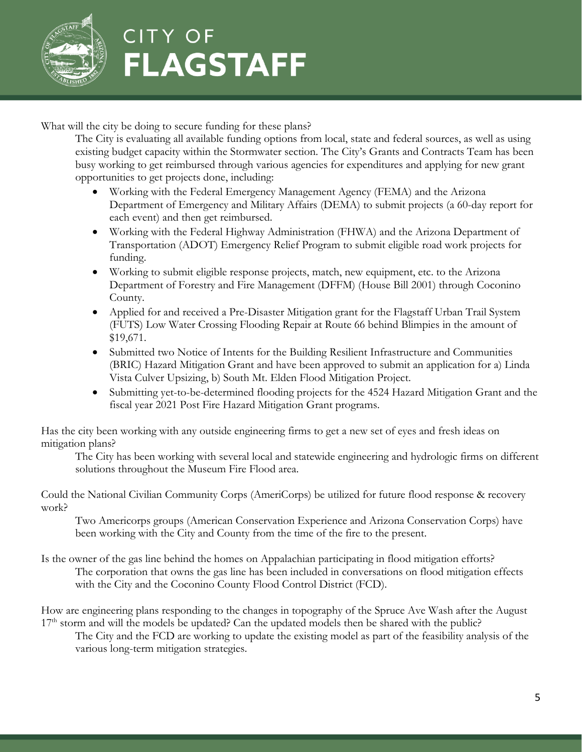

What will the city be doing to secure funding for these plans?

The City is evaluating all available funding options from local, state and federal sources, as well as using existing budget capacity within the Stormwater section. The City's Grants and Contracts Team has been busy working to get reimbursed through various agencies for expenditures and applying for new grant opportunities to get projects done, including:

- Working with the Federal Emergency Management Agency (FEMA) and the Arizona Department of Emergency and Military Affairs (DEMA) to submit projects (a 60-day report for each event) and then get reimbursed.
- Working with the Federal Highway Administration (FHWA) and the Arizona Department of Transportation (ADOT) Emergency Relief Program to submit eligible road work projects for funding.
- Working to submit eligible response projects, match, new equipment, etc. to the Arizona Department of Forestry and Fire Management (DFFM) (House Bill 2001) through Coconino County.
- Applied for and received a Pre-Disaster Mitigation grant for the Flagstaff Urban Trail System (FUTS) Low Water Crossing Flooding Repair at Route 66 behind Blimpies in the amount of \$19,671.
- Submitted two Notice of Intents for the Building Resilient Infrastructure and Communities (BRIC) Hazard Mitigation Grant and have been approved to submit an application for a) Linda Vista Culver Upsizing, b) South Mt. Elden Flood Mitigation Project.
- Submitting yet-to-be-determined flooding projects for the 4524 Hazard Mitigation Grant and the fiscal year 2021 Post Fire Hazard Mitigation Grant programs.

Has the city been working with any outside engineering firms to get a new set of eyes and fresh ideas on mitigation plans?

The City has been working with several local and statewide engineering and hydrologic firms on different solutions throughout the Museum Fire Flood area.

Could the National Civilian Community Corps (AmeriCorps) be utilized for future flood response & recovery work?

Two Americorps groups (American Conservation Experience and Arizona Conservation Corps) have been working with the City and County from the time of the fire to the present.

Is the owner of the gas line behind the homes on Appalachian participating in flood mitigation efforts? The corporation that owns the gas line has been included in conversations on flood mitigation effects with the City and the Coconino County Flood Control District (FCD).

How are engineering plans responding to the changes in topography of the Spruce Ave Wash after the August 17<sup>th</sup> storm and will the models be updated? Can the updated models then be shared with the public?

The City and the FCD are working to update the existing model as part of the feasibility analysis of the various long-term mitigation strategies.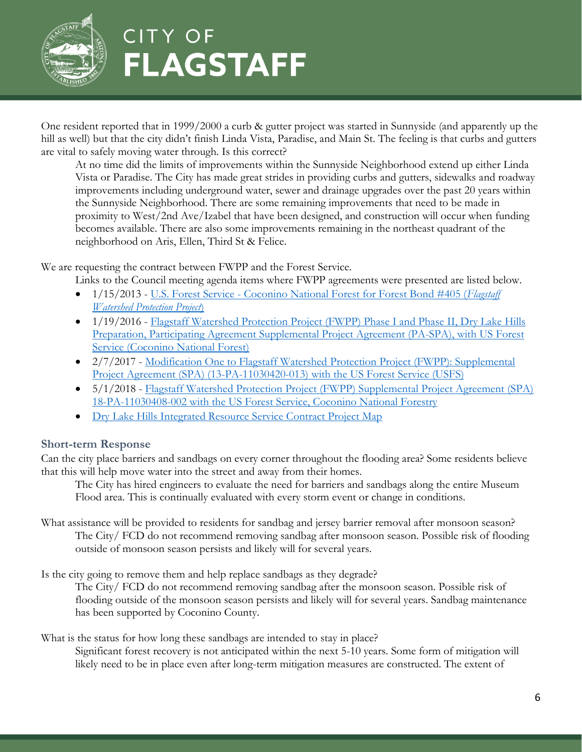

One resident reported that in 1999/2000 a curb & gutter project was started in Sunnyside (and apparently up the hill as well) but that the city didn't finish Linda Vista, Paradise, and Main St. The feeling is that curbs and gutters are vital to safely moving water through. Is this correct?

At no time did the limits of improvements within the Sunnyside Neighborhood extend up either Linda Vista or Paradise. The City has made great strides in providing curbs and gutters, sidewalks and roadway improvements including underground water, sewer and drainage upgrades over the past 20 years within the Sunnyside Neighborhood. There are some remaining improvements that need to be made in proximity to West/2nd Ave/Izabel that have been designed, and construction will occur when funding becomes available. There are also some improvements remaining in the northeast quadrant of the neighborhood on Aris, Ellen, Third St & Felice.

We are requesting the contract between FWPP and the Forest Service.

- Links to the Council meeting agenda items where FWPP agreements were presented are listed below.
- 1/15/2013 U.S. Forest Service [Coconino National Forest for Forest Bond #405 \(](http://cityweb.flagstaffaz.gov/agendaquick/agenda_publish.cfm?dsp=agm&seq=379&rev=9&id=&form_type=AG_MEMO&beg_meetmth=1&beg_meetyr=2012&end_meetmth=12&end_meetyr=2017&mt=ALL&sstr=Watershed%20Protection&dept=ALL&hartkeywords=&sortby=f.form_num,%20f.rev_num&fp=ADVSRCH&StartRow=1)*Flagstaff [Watershed Protection Project](http://cityweb.flagstaffaz.gov/agendaquick/agenda_publish.cfm?dsp=agm&seq=379&rev=9&id=&form_type=AG_MEMO&beg_meetmth=1&beg_meetyr=2012&end_meetmth=12&end_meetyr=2017&mt=ALL&sstr=Watershed%20Protection&dept=ALL&hartkeywords=&sortby=f.form_num,%20f.rev_num&fp=ADVSRCH&StartRow=1)*)
- 1/19/2016 Flagstaff Watershed Protection Project (FWPP) Phase I and Phase II, Dry Lake Hills Preparation, [Participating Agreement Supplemental Project Agreement \(PA-SPA\), with US Forest](http://cityweb.flagstaffaz.gov/agendaquick/agenda_publish.cfm?dsp=agm&seq=1992&rev=1&id=&form_type=AG_MEMO&beg_meetmth=1&beg_meetyr=2012&end_meetmth=12&end_meetyr=2017&mt=ALL&sstr=Watershed%20Protection&dept=ALL&hartkeywords=&sortby=f.form_num,%20f.rev_num&fp=ADVSRCH&StartRow=21)  [Service \(Coconino National Forest\)](http://cityweb.flagstaffaz.gov/agendaquick/agenda_publish.cfm?dsp=agm&seq=1992&rev=1&id=&form_type=AG_MEMO&beg_meetmth=1&beg_meetyr=2012&end_meetmth=12&end_meetyr=2017&mt=ALL&sstr=Watershed%20Protection&dept=ALL&hartkeywords=&sortby=f.form_num,%20f.rev_num&fp=ADVSRCH&StartRow=21)
- 2/7/2017 Modification One to Flagstaff Watershed Protection Project (FWPP): Supplemental [Project Agreement \(SPA\) \(13-PA-11030420-013\) with the US Forest Service \(USFS\)](http://cityweb.flagstaffaz.gov/agendaquick/agenda_publish.cfm?dsp=agm&seq=2541&rev=1&id=&form_type=AG_MEMO&beg_meetmth=1&beg_meetyr=2012&end_meetmth=12&end_meetyr=2017&mt=ALL&sstr=Watershed%20Protection&dept=ALL&hartkeywords=&sortby=f.form_num,%20f.rev_num&fp=ADVSRCH&StartRow=41)
- 5/1/2018 Flagstaff Watershed Protection Project (FWPP) Supplemental Project Agreement (SPA) [18-PA-11030408-002 with the US Forest Service, Coconino National Forestry](http://cityweb.flagstaffaz.gov/agendaquick/agenda_publish.cfm?dsp=agm&seq=3282&rev=1&id=&form_type=AG_MEMO&beg_meetmth=1&beg_meetyr=2012&end_meetmth=12&end_meetyr=2023&mt=ALL&sstr=Watershed%20Protection&dept=ALL&hartkeywords=&sortby=f.form_num,%20f.rev_num&fp=ADVSRCH&StartRow=41)
- [Dry Lake Hills Integrated Resource Service Contract](https://www.flagstaff.az.gov/DocumentCenter/View/70847/FWPP-Contract-Project-Map) Project Map

#### <span id="page-5-0"></span>**Short-term Response**

Can the city place barriers and sandbags on every corner throughout the flooding area? Some residents believe that this will help move water into the street and away from their homes.

The City has hired engineers to evaluate the need for barriers and sandbags along the entire Museum Flood area. This is continually evaluated with every storm event or change in conditions.

What assistance will be provided to residents for sandbag and jersey barrier removal after monsoon season? The City/ FCD do not recommend removing sandbag after monsoon season. Possible risk of flooding outside of monsoon season persists and likely will for several years.

Is the city going to remove them and help replace sandbags as they degrade?

The City/ FCD do not recommend removing sandbag after the monsoon season. Possible risk of flooding outside of the monsoon season persists and likely will for several years. Sandbag maintenance has been supported by Coconino County.

What is the status for how long these sandbags are intended to stay in place?

Significant forest recovery is not anticipated within the next 5-10 years. Some form of mitigation will likely need to be in place even after long-term mitigation measures are constructed. The extent of